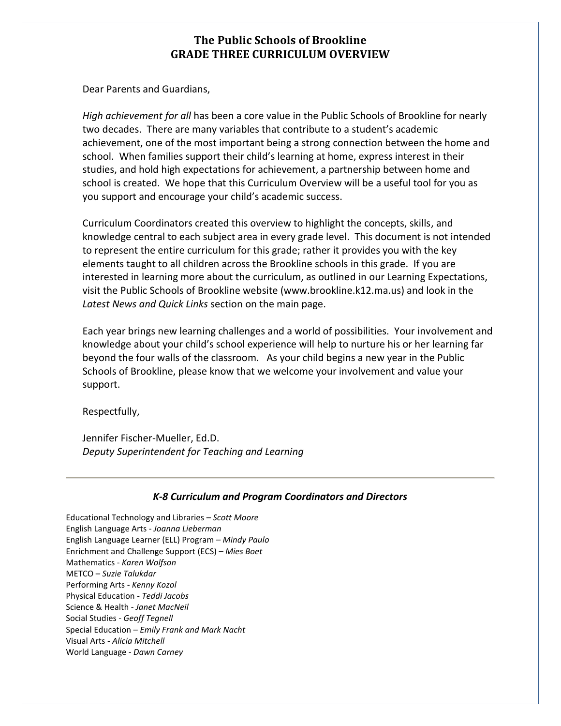Dear Parents and Guardians,

*High achievement for all* has been a core value in the Public Schools of Brookline for nearly two decades. There are many variables that contribute to a student's academic achievement, one of the most important being a strong connection between the home and school. When families support their child's learning at home, express interest in their studies, and hold high expectations for achievement, a partnership between home and school is created. We hope that this Curriculum Overview will be a useful tool for you as you support and encourage your child's academic success.

Curriculum Coordinators created this overview to highlight the concepts, skills, and knowledge central to each subject area in every grade level. This document is not intended to represent the entire curriculum for this grade; rather it provides you with the key elements taught to all children across the Brookline schools in this grade. If you are interested in learning more about the curriculum, as outlined in our Learning Expectations, visit the Public Schools of Brookline website (www.brookline.k12.ma.us) and look in the *Latest News and Quick Links* section on the main page.

Each year brings new learning challenges and a world of possibilities. Your involvement and knowledge about your child's school experience will help to nurture his or her learning far beyond the four walls of the classroom. As your child begins a new year in the Public Schools of Brookline, please know that we welcome your involvement and value your support.

Respectfully,

Jennifer Fischer-Mueller, Ed.D. *Deputy Superintendent for Teaching and Learning*

## *K-8 Curriculum and Program Coordinators and Directors*

Educational Technology and Libraries *– Scott Moore* English Language Arts - *Joanna Lieberman* English Language Learner (ELL) Program *– Mindy Paulo* Enrichment and Challenge Support (ECS) *– Mies Boet* Mathematics - *Karen Wolfson* METCO – *Suzie Talukdar* Performing Arts - *Kenny Kozol* Physical Education - *Teddi Jacobs* Science & Health - *Janet MacNeil* Social Studies - *Geoff Tegnell* Special Education – *Emily Frank and Mark Nacht* Visual Arts - *Alicia Mitchell* World Language - *Dawn Carney*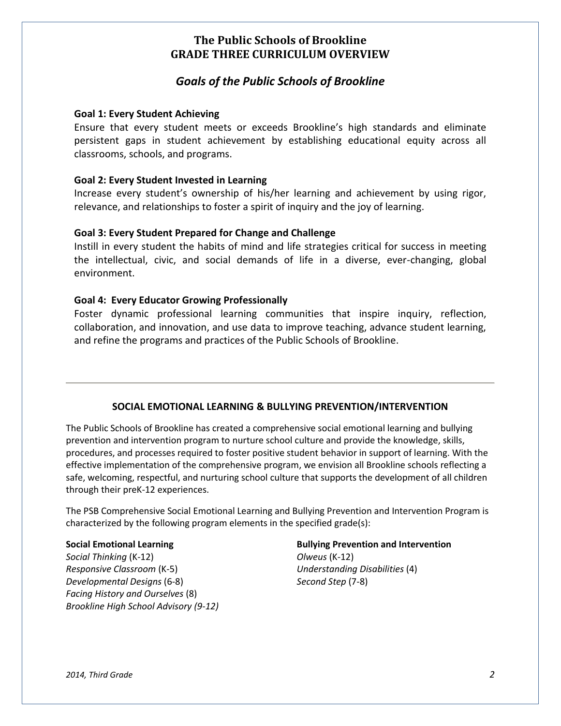# *Goals of the Public Schools of Brookline*

## **Goal 1: Every Student Achieving**

Ensure that every student meets or exceeds Brookline's high standards and eliminate persistent gaps in student achievement by establishing educational equity across all classrooms, schools, and programs.

### **Goal 2: Every Student Invested in Learning**

Increase every student's ownership of his/her learning and achievement by using rigor, relevance, and relationships to foster a spirit of inquiry and the joy of learning.

### **Goal 3: Every Student Prepared for Change and Challenge**

Instill in every student the habits of mind and life strategies critical for success in meeting the intellectual, civic, and social demands of life in a diverse, ever-changing, global environment.

### **Goal 4: Every Educator Growing Professionally**

Foster dynamic professional learning communities that inspire inquiry, reflection, collaboration, and innovation, and use data to improve teaching, advance student learning, and refine the programs and practices of the Public Schools of Brookline.

## **SOCIAL EMOTIONAL LEARNING & BULLYING PREVENTION/INTERVENTION**

The Public Schools of Brookline has created a comprehensive social emotional learning and bullying prevention and intervention program to nurture school culture and provide the knowledge, skills, procedures, and processes required to foster positive student behavior in support of learning. With the effective implementation of the comprehensive program, we envision all Brookline schools reflecting a safe, welcoming, respectful, and nurturing school culture that supports the development of all children through their preK-12 experiences.

The PSB Comprehensive Social Emotional Learning and Bullying Prevention and Intervention Program is characterized by the following program elements in the specified grade(s):

*Social Thinking* (K-12) *Olweus* (K-12) *Responsive Classroom* (K-5) *Understanding Disabilities* (4) *Developmental Designs* (6-8) *Second Step* (7-8) *Facing History and Ourselves* (8) *Brookline High School Advisory (9-12)*

## **Social Emotional Learning Bullying Prevention and Intervention**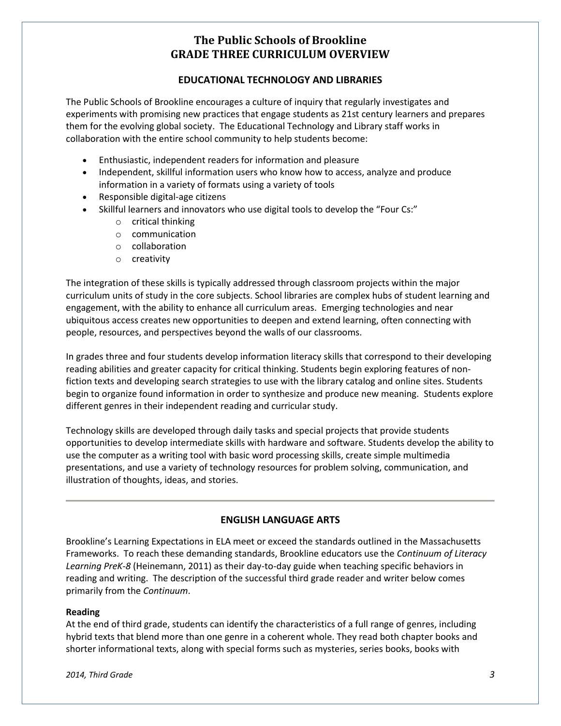## **EDUCATIONAL TECHNOLOGY AND LIBRARIES**

The Public Schools of Brookline encourages a culture of inquiry that regularly investigates and experiments with promising new practices that engage students as 21st century learners and prepares them for the evolving global society. The Educational Technology and Library staff works in collaboration with the entire school community to help students become:

- Enthusiastic, independent readers for information and pleasure
- Independent, skillful information users who know how to access, analyze and produce information in a variety of formats using a variety of tools
- Responsible digital-age citizens
- Skillful learners and innovators who use digital tools to develop the "Four Cs:"
	- o critical thinking
	- o communication
	- o collaboration
	- o creativity

The integration of these skills is typically addressed through classroom projects within the major curriculum units of study in the core subjects. School libraries are complex hubs of student learning and engagement, with the ability to enhance all curriculum areas. Emerging technologies and near ubiquitous access creates new opportunities to deepen and extend learning, often connecting with people, resources, and perspectives beyond the walls of our classrooms.

In grades three and four students develop information literacy skills that correspond to their developing reading abilities and greater capacity for critical thinking. Students begin exploring features of nonfiction texts and developing search strategies to use with the library catalog and online sites. Students begin to organize found information in order to synthesize and produce new meaning. Students explore different genres in their independent reading and curricular study.

Technology skills are developed through daily tasks and special projects that provide students opportunities to develop intermediate skills with hardware and software. Students develop the ability to use the computer as a writing tool with basic word processing skills, create simple multimedia presentations, and use a variety of technology resources for problem solving, communication, and illustration of thoughts, ideas, and stories.

## **ENGLISH LANGUAGE ARTS**

Brookline's Learning Expectations in ELA meet or exceed the standards outlined in the Massachusetts Frameworks. To reach these demanding standards, Brookline educators use the *Continuum of Literacy Learning PreK-8* (Heinemann, 2011) as their day-to-day guide when teaching specific behaviors in reading and writing. The description of the successful third grade reader and writer below comes primarily from the *Continuum*.

#### **Reading**

At the end of third grade, students can identify the characteristics of a full range of genres, including hybrid texts that blend more than one genre in a coherent whole. They read both chapter books and shorter informational texts, along with special forms such as mysteries, series books, books with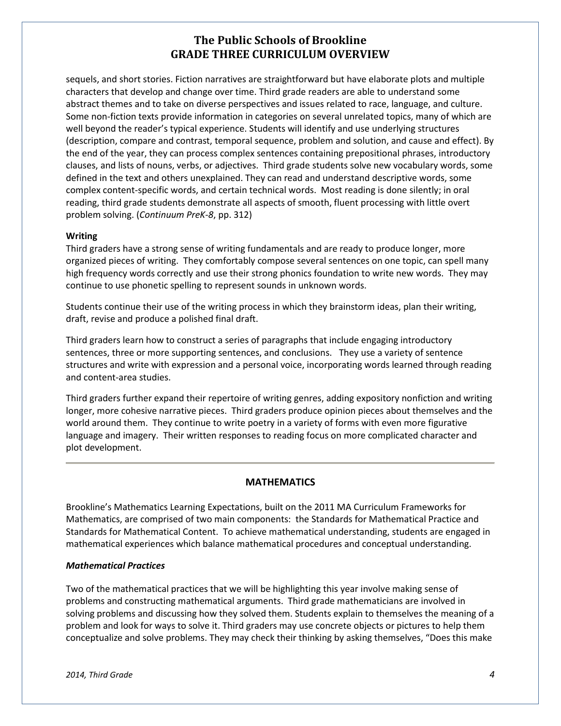sequels, and short stories. Fiction narratives are straightforward but have elaborate plots and multiple characters that develop and change over time. Third grade readers are able to understand some abstract themes and to take on diverse perspectives and issues related to race, language, and culture. Some non-fiction texts provide information in categories on several unrelated topics, many of which are well beyond the reader's typical experience. Students will identify and use underlying structures (description, compare and contrast, temporal sequence, problem and solution, and cause and effect). By the end of the year, they can process complex sentences containing prepositional phrases, introductory clauses, and lists of nouns, verbs, or adjectives. Third grade students solve new vocabulary words, some defined in the text and others unexplained. They can read and understand descriptive words, some complex content-specific words, and certain technical words. Most reading is done silently; in oral reading, third grade students demonstrate all aspects of smooth, fluent processing with little overt problem solving. (*Continuum PreK-8*, pp. 312)

#### **Writing**

Third graders have a strong sense of writing fundamentals and are ready to produce longer, more organized pieces of writing. They comfortably compose several sentences on one topic, can spell many high frequency words correctly and use their strong phonics foundation to write new words. They may continue to use phonetic spelling to represent sounds in unknown words.

Students continue their use of the writing process in which they brainstorm ideas, plan their writing, draft, revise and produce a polished final draft.

Third graders learn how to construct a series of paragraphs that include engaging introductory sentences, three or more supporting sentences, and conclusions. They use a variety of sentence structures and write with expression and a personal voice, incorporating words learned through reading and content-area studies.

Third graders further expand their repertoire of writing genres, adding expository nonfiction and writing longer, more cohesive narrative pieces. Third graders produce opinion pieces about themselves and the world around them. They continue to write poetry in a variety of forms with even more figurative language and imagery. Their written responses to reading focus on more complicated character and plot development.

#### **MATHEMATICS**

Brookline's Mathematics Learning Expectations, built on the 2011 MA Curriculum Frameworks for Mathematics, are comprised of two main components: the Standards for Mathematical Practice and Standards for Mathematical Content. To achieve mathematical understanding, students are engaged in mathematical experiences which balance mathematical procedures and conceptual understanding.

#### *Mathematical Practices*

Two of the mathematical practices that we will be highlighting this year involve making sense of problems and constructing mathematical arguments. Third grade mathematicians are involved in solving problems and discussing how they solved them. Students explain to themselves the meaning of a problem and look for ways to solve it. Third graders may use concrete objects or pictures to help them conceptualize and solve problems. They may check their thinking by asking themselves, "Does this make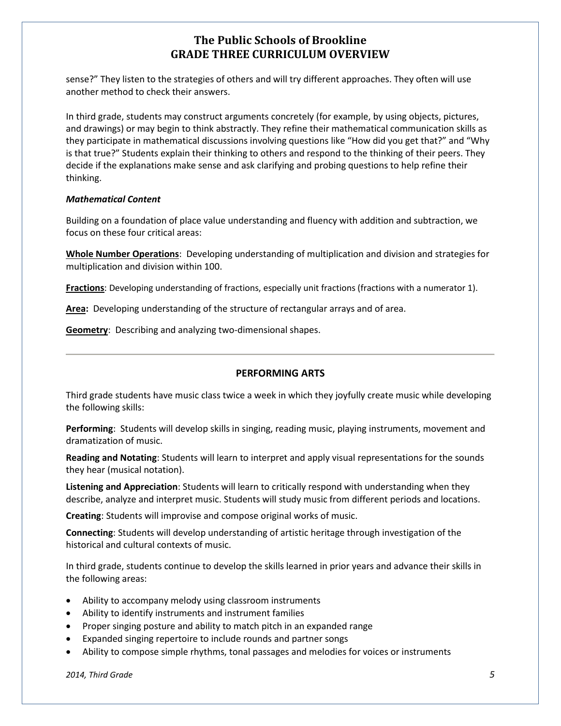sense?" They listen to the strategies of others and will try different approaches. They often will use another method to check their answers.

In third grade, students may construct arguments concretely (for example, by using objects, pictures, and drawings) or may begin to think abstractly. They refine their mathematical communication skills as they participate in mathematical discussions involving questions like "How did you get that?" and "Why is that true?" Students explain their thinking to others and respond to the thinking of their peers. They decide if the explanations make sense and ask clarifying and probing questions to help refine their thinking.

#### *Mathematical Content*

Building on a foundation of place value understanding and fluency with addition and subtraction, we focus on these four critical areas:

**Whole Number Operations**: Developing understanding of multiplication and division and strategies for multiplication and division within 100.

**Fractions**: Developing understanding of fractions, especially unit fractions (fractions with a numerator 1).

**Area:** Developing understanding of the structure of rectangular arrays and of area.

**Geometry**: Describing and analyzing two-dimensional shapes.

## **PERFORMING ARTS**

Third grade students have music class twice a week in which they joyfully create music while developing the following skills:

**Performing**: Students will develop skills in singing, reading music, playing instruments, movement and dramatization of music.

**Reading and Notating**: Students will learn to interpret and apply visual representations for the sounds they hear (musical notation).

**Listening and Appreciation**: Students will learn to critically respond with understanding when they describe, analyze and interpret music. Students will study music from different periods and locations.

**Creating**: Students will improvise and compose original works of music.

**Connecting**: Students will develop understanding of artistic heritage through investigation of the historical and cultural contexts of music.

In third grade, students continue to develop the skills learned in prior years and advance their skills in the following areas:

- Ability to accompany melody using classroom instruments
- Ability to identify instruments and instrument families
- Proper singing posture and ability to match pitch in an expanded range
- Expanded singing repertoire to include rounds and partner songs
- Ability to compose simple rhythms, tonal passages and melodies for voices or instruments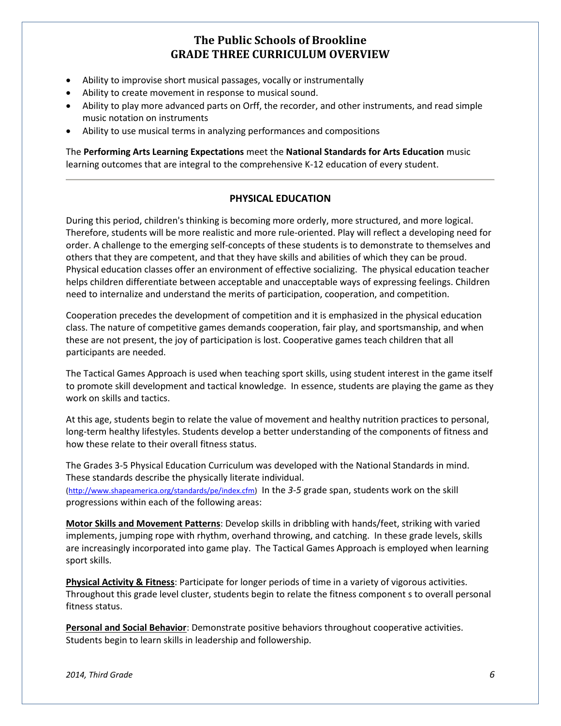- Ability to improvise short musical passages, vocally or instrumentally
- Ability to create movement in response to musical sound.
- Ability to play more advanced parts on Orff, the recorder, and other instruments, and read simple music notation on instruments
- Ability to use musical terms in analyzing performances and compositions

The **Performing Arts Learning Expectations** meet the **National Standards for Arts Education** music learning outcomes that are integral to the comprehensive K-12 education of every student.

### **PHYSICAL EDUCATION**

During this period, children's thinking is becoming more orderly, more structured, and more logical. Therefore, students will be more realistic and more rule-oriented. Play will reflect a developing need for order. A challenge to the emerging self-concepts of these students is to demonstrate to themselves and others that they are competent, and that they have skills and abilities of which they can be proud. Physical education classes offer an environment of effective socializing. The physical education teacher helps children differentiate between acceptable and unacceptable ways of expressing feelings. Children need to internalize and understand the merits of participation, cooperation, and competition.

Cooperation precedes the development of competition and it is emphasized in the physical education class. The nature of competitive games demands cooperation, fair play, and sportsmanship, and when these are not present, the joy of participation is lost. Cooperative games teach children that all participants are needed.

The Tactical Games Approach is used when teaching sport skills, using student interest in the game itself to promote skill development and tactical knowledge. In essence, students are playing the game as they work on skills and tactics.

At this age, students begin to relate the value of movement and healthy nutrition practices to personal, long-term healthy lifestyles. Students develop a better understanding of the components of fitness and how these relate to their overall fitness status.

The Grades 3-5 Physical Education Curriculum was developed with the National Standards in mind. These standards describe the physically literate individual.

[\(http://www.shapeamerica.org/standards/pe/index.cfm\)](http://www.shapeamerica.org/standards/pe/index.cfm) In the *3-5* grade span, students work on the skill progressions within each of the following areas:

**Motor Skills and Movement Patterns**: Develop skills in dribbling with hands/feet, striking with varied implements, jumping rope with rhythm, overhand throwing, and catching. In these grade levels, skills are increasingly incorporated into game play. The Tactical Games Approach is employed when learning sport skills.

**Physical Activity & Fitness**: Participate for longer periods of time in a variety of vigorous activities. Throughout this grade level cluster, students begin to relate the fitness component s to overall personal fitness status.

**Personal and Social Behavior**: Demonstrate positive behaviors throughout cooperative activities. Students begin to learn skills in leadership and followership.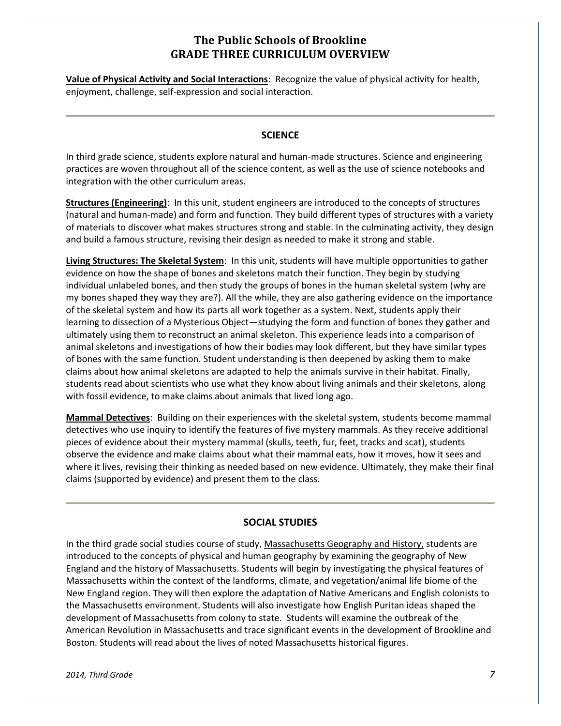**Value of Physical Activity and Social Interactions**: Recognize the value of physical activity for health, enjoyment, challenge, self-expression and social interaction.

## **SCIENCE**

In third grade science, students explore natural and human-made structures. Science and engineering practices are woven throughout all of the science content, as well as the use of science notebooks and integration with the other curriculum areas.

**Structures (Engineering)**: In this unit, student engineers are introduced to the concepts of structures (natural and human-made) and form and function. They build different types of structures with a variety of materials to discover what makes structures strong and stable. In the culminating activity, they design and build a famous structure, revising their design as needed to make it strong and stable.

**Living Structures: The Skeletal System**: In this unit, students will have multiple opportunities to gather evidence on how the shape of bones and skeletons match their function. They begin by studying individual unlabeled bones, and then study the groups of bones in the human skeletal system (why are my bones shaped they way they are?). All the while, they are also gathering evidence on the importance of the skeletal system and how its parts all work together as a system. Next, students apply their learning to dissection of a Mysterious Object—studying the form and function of bones they gather and ultimately using them to reconstruct an animal skeleton. This experience leads into a comparison of animal skeletons and investigations of how their bodies may look different, but they have similar types of bones with the same function. Student understanding is then deepened by asking them to make claims about how animal skeletons are adapted to help the animals survive in their habitat. Finally, students read about scientists who use what they know about living animals and their skeletons, along with fossil evidence, to make claims about animals that lived long ago.

**Mammal Detectives**: Building on their experiences with the skeletal system, students become mammal detectives who use inquiry to identify the features of five mystery mammals. As they receive additional pieces of evidence about their mystery mammal (skulls, teeth, fur, feet, tracks and scat), students observe the evidence and make claims about what their mammal eats, how it moves, how it sees and where it lives, revising their thinking as needed based on new evidence. Ultimately, they make their final claims (supported by evidence) and present them to the class.

#### **SOCIAL STUDIES**

In the third grade social studies course of study, Massachusetts Geography and History, students are introduced to the concepts of physical and human geography by examining the geography of New England and the history of Massachusetts. Students will begin by investigating the physical features of Massachusetts within the context of the landforms, climate, and vegetation/animal life biome of the New England region. They will then explore the adaptation of Native Americans and English colonists to the Massachusetts environment. Students will also investigate how English Puritan ideas shaped the development of Massachusetts from colony to state. Students will examine the outbreak of the American Revolution in Massachusetts and trace significant events in the development of Brookline and Boston. Students will read about the lives of noted Massachusetts historical figures.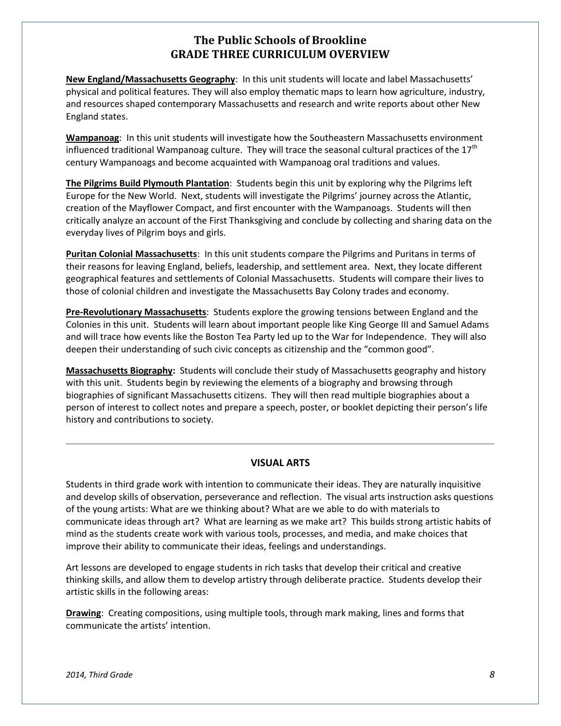**New England/Massachusetts Geography**: In this unit students will locate and label Massachusetts' physical and political features. They will also employ thematic maps to learn how agriculture, industry, and resources shaped contemporary Massachusetts and research and write reports about other New England states.

**Wampanoag**: In this unit students will investigate how the Southeastern Massachusetts environment influenced traditional Wampanoag culture. They will trace the seasonal cultural practices of the  $17^{\text{th}}$ century Wampanoags and become acquainted with Wampanoag oral traditions and values.

**The Pilgrims Build Plymouth Plantation**: Students begin this unit by exploring why the Pilgrims left Europe for the New World. Next, students will investigate the Pilgrims' journey across the Atlantic, creation of the Mayflower Compact, and first encounter with the Wampanoags. Students will then critically analyze an account of the First Thanksgiving and conclude by collecting and sharing data on the everyday lives of Pilgrim boys and girls.

**Puritan Colonial Massachusetts**: In this unit students compare the Pilgrims and Puritans in terms of their reasons for leaving England, beliefs, leadership, and settlement area. Next, they locate different geographical features and settlements of Colonial Massachusetts. Students will compare their lives to those of colonial children and investigate the Massachusetts Bay Colony trades and economy.

**Pre-Revolutionary Massachusetts**: Students explore the growing tensions between England and the Colonies in this unit. Students will learn about important people like King George III and Samuel Adams and will trace how events like the Boston Tea Party led up to the War for Independence. They will also deepen their understanding of such civic concepts as citizenship and the "common good".

**Massachusetts Biography:** Students will conclude their study of Massachusetts geography and history with this unit. Students begin by reviewing the elements of a biography and browsing through biographies of significant Massachusetts citizens. They will then read multiple biographies about a person of interest to collect notes and prepare a speech, poster, or booklet depicting their person's life history and contributions to society.

## **VISUAL ARTS**

Students in third grade work with intention to communicate their ideas. They are naturally inquisitive and develop skills of observation, perseverance and reflection. The visual arts instruction asks questions of the young artists: What are we thinking about? What are we able to do with materials to communicate ideas through art? What are learning as we make art? This builds strong artistic habits of mind as the students create work with various tools, processes, and media, and make choices that improve their ability to communicate their ideas, feelings and understandings.

Art lessons are developed to engage students in rich tasks that develop their critical and creative thinking skills, and allow them to develop artistry through deliberate practice. Students develop their artistic skills in the following areas:

**Drawing**: Creating compositions, using multiple tools, through mark making, lines and forms that communicate the artists' intention.